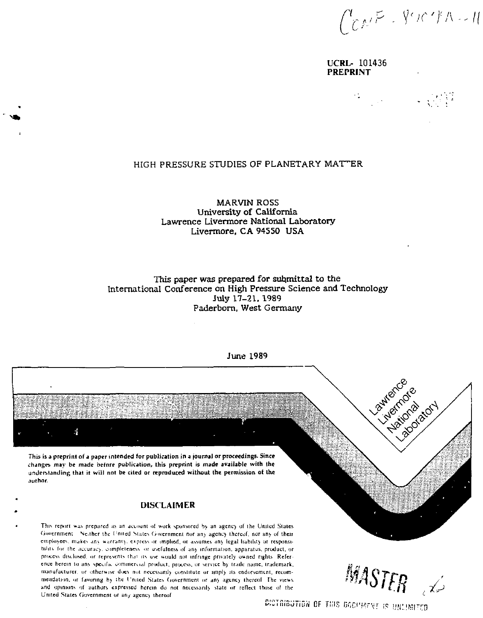$\int_{C}^{t}$   $\mathcal{M}^{F}$  -  $\int_{0}^{t}$   $\mathcal{M}^{F}$   $\mathcal{M}^{F}$ 

 $\frac{1}{2}$  ,  $\frac{1}{2}$  ,  $\frac{1}{2}$  ,  $\frac{1}{2}$ 

 $\sim 10^{11}$ 

UCRL- 101436 PREPRINT

# HIGH PRESSURE STUDIES OF PLANETARY MATTER

MARVIN ROSS University of California Lawrence Livermore National Laboratory Livermore, CA 94550 USA

This paper was prepared for submittal to the International Conference on High Pressure Science and Technology July 17-21. 1989 Paderborn, West Germany



This is a preprint of a paper intended for publication in a journal or proceedings. Since changes may be made before publication, this preprint is made available with the understanding that it will not be cited or reproduced without the permission of the author.

#### **DISCLAIMER**

This report was prepared as an account of work sponsored by an agency of the United States Government. Neither the United States Government nor any agency thereof, nor any of their employees, makes any warranty, express or implied, or assumes any legal liability or responsibility for the accuracy, completeness or usefulness of any information, apparatus, product, or process disclosed, or represents that its use would not infringe privately owned rights. Reference herein to any specific commercial product, process, or service by trade name, trademark, manufacturer, or otherwise does not necessarily constitute or imply its endorsement, recommendation, or favoring by the United States Covernment or any agency thereof. The views and opinions of authors expressed herein do not necessarily state or reflect those of the United States Government or any agency thereof

**MASTER** 

DICTRIBUTION OF THIS BOOMARNE IS UNLIMITED

June 1989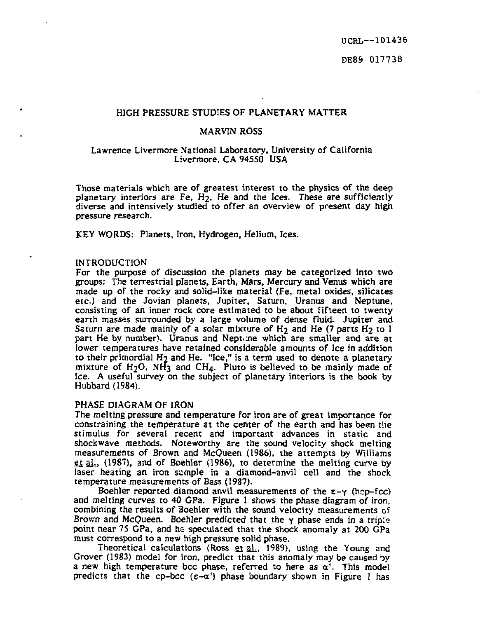UCRL—101436

# DE8& 017738

### HIGH PRESSURE STUDIES OF PLANETARY MATTER

### MARVIN ROSS

#### Lawrence Livermore National Laboratory, University of California Livermore, CA 94550 USA

Those materials which are of greatest interest to the physics of the deep planetary interiors are Fe, H2, He and the Ices. These *are* sufficiently diverse and intensively studied to offer an overview of present day high pressure research.

KEY WORDS: Planets, Iron, Hydrogen, Helium, Ices.

### **INTRODUCTION**

For the purpose of discussion the planets may be categorized into two groups: The terrestrial planets, Earth, Mars, Mercury and Venus which are made up of the rocky and solid-like material (Fe, metal oxides, silicates etc.) and the Jovian planets, Jupiter, Saturn, Uranus and Neptune, consisting of an inner rock core estimated to be about fifteen to twenty earth masses surrounded by a large volume of dense fluid. Jupiter and Saturn are made mainly of a solar mixture of  $H_2$  and He (7 parts  $H_2$  to 1 part He by number). Uranus and Neptune which are smaller and are at lower temperatures have retained considerable amounts of Ice in addition to their primordial H2 and He. "Ice," is a term used to denote a planetary mixture of H2O, NH3 and CH4. Pluto is believed to be mainly made of Ice. A useful survey on the subject of planetary interiors is the book by Hubbard (1984).

#### PHASE DIAGRAM OF IRON

The melting pressure and temperature for iron are of great importance for constraining the temperature at the center of the earth and has been the stimulus for several recent and important advances in static and Shockwave methods. Noteworthy are the sound velocity shock melting measurements of Brown and McQueen (1986), the attempts by Williams et al., (1987), and of Boehler (1986), to determine the melting curve by laser heating an iron sample in a diamond-anvil cell and the shock temperature measurements of Bass (1987).

Boehler reported diamond anvil measurements of the *z-y* (hep-fcc) and melting curves to 40 GPa. Figure 1 shows the phase diagram of iron, combining the results of 3oehler with the sound velocity measurements of Brown and McQueen. Boehler predicted that the *y* phase ends in a tripie point near 75 GPa, and he speculated that the shock anomaly at 200 GPa must correspond to a new high pressure solid phase.

Theoretical calculations (Ross et al., 1989), using the Young and Grover (1983) model for iron, predict that this anomaly may be caused by a new high temperature bcc phase, referred to here as  $\alpha'$ . This model predicts that the cp-bcc  $(\epsilon-\alpha')$  phase boundary shown in Figure 1 has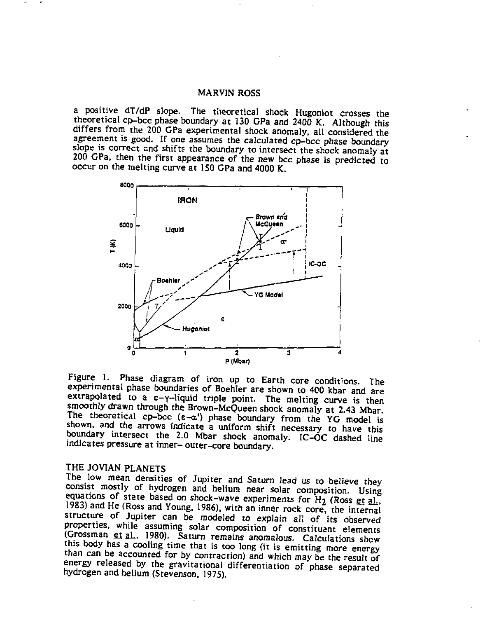### MARVIN ROSS

a positive dT/dP slope. The theoretical shock Hugoniot crosses the theoretical cp-bcc phase boundary at 130 GPa and 2400 K. Although this differs from the 200 GPa experimental shock anomaly, all considered the agreement is good. If one assumes the calculated cp-bcc phase boundary slope is correct and shifts the boundary to intersect the shock anomaly at 200 GPa, then the first appearance of the new bcc phase is predicted to occur on the melting curve at ISO GPa and 4000 K.



Figure 1. Phase diagram of iron up to Earth core conditions. The experimental phase boundaries of Boehler are shown to 400 kbar and are extrapolated to a  $\varepsilon$ - $\gamma$ -liquid triple point. The melting curve is then smoothly drawn through the Brown-McQueen shock anomaly at 2.43 Mbar The theoretical cp-bcc  $(e-\alpha')$  phase boundary from the YG model is shown, and the arrows indicate a uniform shift necessary to have this boundary intersect the 2.0 Mbar shock anomaly. IC-OC dashed line indicates pressure at inner- outer-core boundary.

# THE JOVIAN PLANETS

The low mean densities of Jupiter and Saturn lead us to believe they consist mostly of hydrogen and helium near solar composition. Using equations of state based on shock-wave experiments for  $H_2$  (Ross et all 1983) and He (Ross and Young, 1986), with an inner rock core, the internal structure of Jupiter can be modeled to explain all of its observed properties, while assuming solar composition of constituent elements Grossman et al., 1980). Saturn remains anomalous. Calculations show this body has a cooling time that is too long (it is emitting more energy than can be accounted for by contraction) and which may be the result of energy released by the gravitational differentiation of phase separated hydrogen and helium (Stevenson, 1975).